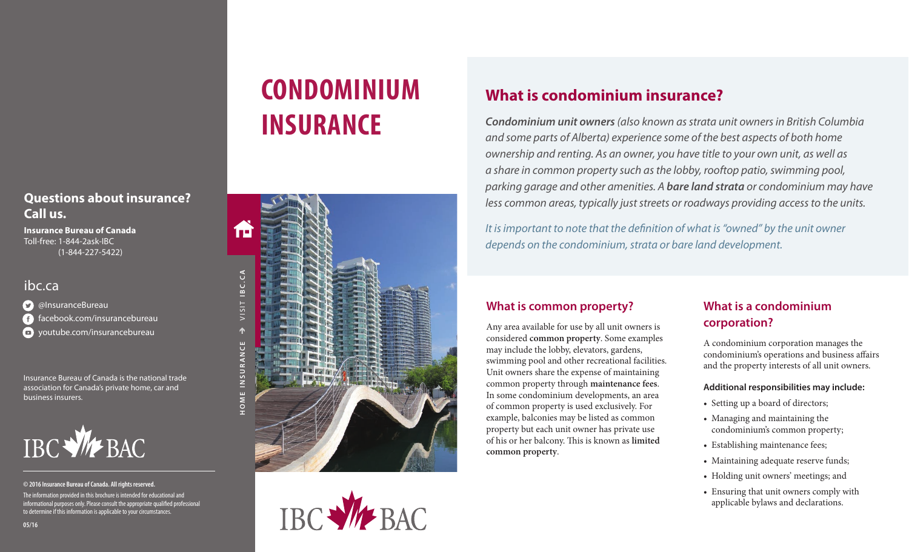# **Questions about insurance? Call us.**

**Insurance Bureau of Canada** Toll-free: 1-844-2ask-IBC (1-844-227-5422)

# ibc.ca

**C** @InsuranceBureau facebook.com/insurancebureau youtube.com/insurancebureau

Insurance Bureau of Canada is the national trade association for Canada's private home, car and business insurers.



#### **© 2016 Insurance Bureau of Canada. All rights reserved.**

The information provided in this brochure is intended for educational and informational purposes only. Please consult the appropriate qualified professional to determine if this information is applicable to your circumstances.

# **CONDOMINIUM INSURANCE**





# **What is condominium insurance?**

*Condominium unit owners (also known as strata unit owners in British Columbia and some parts of Alberta) experience some of the best aspects of both home ownership and renting. As an owner, you have title to your own unit, as well as a share in common property such as the lobby, rooftop patio, swimming pool, parking garage and other amenities. A bare land strata or condominium may have less common areas, typically just streets or roadways providing access to the units.*

*It is important to note that the definition of what is "owned" by the unit owner depends on the condominium, strata or bare land development.*

### **What is common property?**

Any area available for use by all unit owners is considered **common property**. Some examples may include the lobby, elevators, gardens, swimming pool and other recreational facilities. Unit owners share the expense of maintaining common property through **maintenance fees**. In some condominium developments, an area of common property is used exclusively. For example, balconies may be listed as common property but each unit owner has private use of his or her balcony. This is known as **limited common property**.

# **What is a condominium corporation?**

A condominium corporation manages the condominium's operations and business affairs and the property interests of all unit owners.

#### **Additional responsibilities may include:**

- Setting up a board of directors;
- Managing and maintaining the condominium's common property;
- Establishing maintenance fees;
- Maintaining adequate reserve funds;
- Holding unit owners' meetings; and
- Ensuring that unit owners comply with applicable bylaws and declarations.